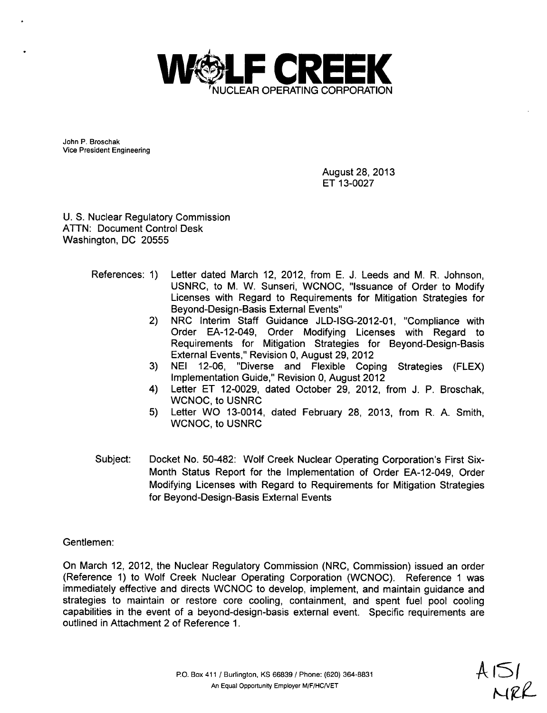

John P. Broschak Vice President Engineering

> August 28, 2013 ET 13-0027

U. S. Nuclear Regulatory Commission ATTN: Document Control Desk Washington, DC 20555

- References: 1) Letter dated March 12, 2012, from E. J. Leeds and M. R. Johnson, USNRC, to M. W. Sunseri, WCNOC, "Issuance of Order to Modify Licenses with Regard to Requirements for Mitigation Strategies for Beyond-Design-Basis External Events"
	- 2) NRC Interim Staff Guidance JLD-ISG-2012-01, "Compliance with Order EA-12-049, Order Modifying Licenses with Regard to Requirements for Mitigation Strategies for Beyond-Design-Basis External Events," Revision 0, August 29, 2012
	- 3) NEI 12-06, "Diverse and Flexible Coping Strategies (FLEX) Implementation Guide," Revision 0, August 2012
	- 4) Letter ET 12-0029, dated October 29, 2012, from J. P. Broschak, WCNOC, to USNRC
	- 5) Letter WO 13-0014, dated February 28, 2013, from R. A. Smith, WCNOC, to USNRC
- Subject: Docket No. 50-482: Wolf Creek Nuclear Operating Corporation's First Six-Month Status Report for the Implementation of Order EA-12-049, Order Modifying Licenses with Regard to Requirements for Mitigation Strategies for Beyond-Design-Basis External Events

Gentlemen:

On March 12, 2012, the Nuclear Regulatory Commission (NRC, Commission) issued an order (Reference 1) to Wolf Creek Nuclear Operating Corporation (WCNOC). Reference 1 was immediately effective and directs WCNOC to develop, implement, and maintain guidance and strategies to maintain or restore core cooling, containment, and spent fuel pool cooling capabilities in the event of a beyond-design-basis external event. Specific requirements are outlined in Attachment 2 of Reference 1.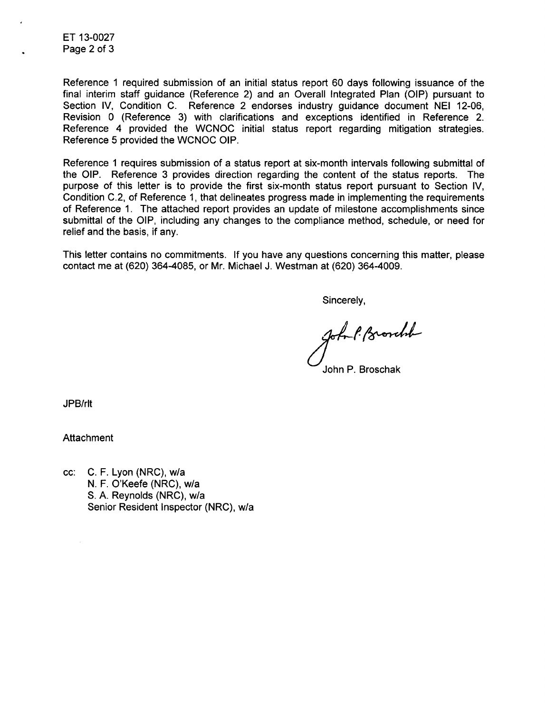ET 13-0027 Page 2 of 3

Reference 1 required submission of an initial status report 60 days following issuance of the final interim staff guidance (Reference 2) and an Overall Integrated Plan (OIP) pursuant to Section IV, Condition C. Reference 2 endorses industry guidance document NEI 12-06, Revision 0 (Reference 3) with clarifications and exceptions identified in Reference 2. Reference 4 provided the WCNOC initial status report regarding mitigation strategies. Reference 5 provided the WCNOC OIP.

Reference 1 requires submission of a status report at six-month intervals following submittal of the OIP. Reference 3 provides direction regarding the content of the status reports. The purpose of this letter is to provide the first six-month status report pursuant to Section IV, Condition C.2, of Reference 1, that delineates progress made in implementing the requirements of Reference 1. The attached report provides an update of milestone accomplishments since submittal of the OIP, including any changes to the compliance method, schedule, or need for relief and the basis, if any.

This letter contains no commitments. If you have any questions concerning this matter, please contact me at (620) 364-4085, or Mr. Michael J. Westman at (620) 364-4009.

Sincerely,

John P. Browchil

John P. Broschak

JPB/rlt

**Attachment** 

cc: C. F. Lyon (NRC), w/a N. F. O'Keefe (NRC), w/a S. A. Reynolds (NRC), w/a Senior Resident Inspector (NRC), w/a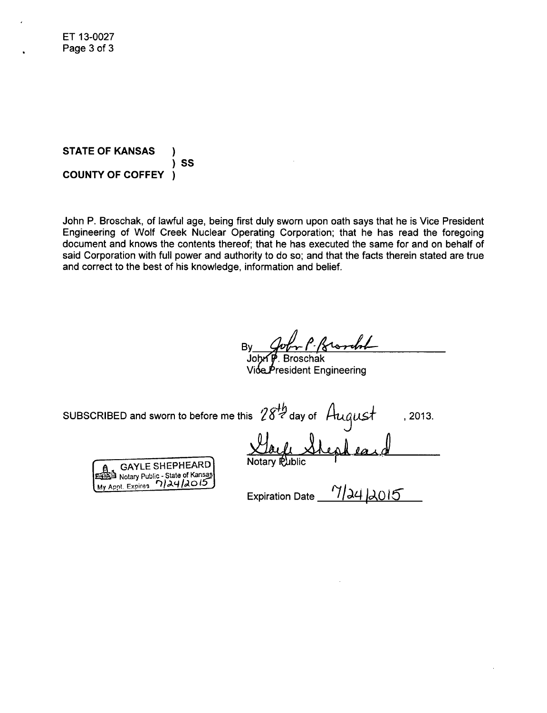**STATE** OF **KANSAS COUNTY** OF COFFEY )<br>)SS )

John P. Broschak, of lawful age, being first duly sworn upon oath says that he is Vice President Engineering of Wolf Creek Nuclear Operating Corporation; that he has read the foregoing document and knows the contents thereof; that he has executed the same for and on behalf of said Corporation with full power and authority to do so; and that the facts therein stated are true and correct to the best of his knowledge, information and belief.

John P. Broschak

/ioe $P$ resident Engineering

SUBSCRIBED and sworn to before me this  $28\frac{th}{2}$  day of  $\frac{August}{\Delta}$ , 2013.

**GAYLE SHEPHEARD E Notary Public - State of Kansas**<br>Appt. Expires 712412015 **My Appt. Expires** 

Expiration Date *`11,ý40,0 15-*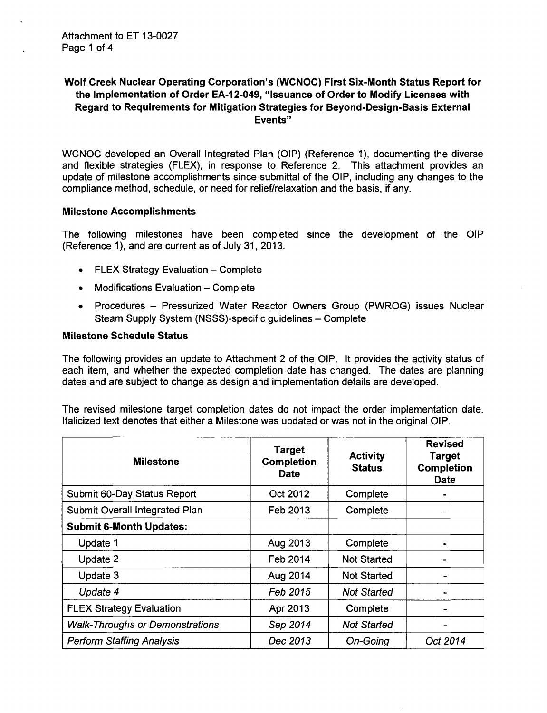## Wolf Creek Nuclear Operating Corporation's (WCNOC) First Six-Month Status Report for the Implementation of Order EA-12-049, "Issuance of Order to Modify Licenses with Regard to Requirements for Mitigation Strategies for Beyond-Design-Basis External Events"

WCNOC developed an Overall Integrated Plan (OIP) (Reference 1), documenting the diverse and flexible strategies (FLEX), in response to Reference 2. This attachment provides an update of milestone accomplishments since submittal of the OIP, including any changes to the compliance method, schedule, or need for relief/relaxation and the basis, if any.

#### Milestone Accomplishments

The following milestones have been completed since the development of the OIP (Reference 1), and are current as of July 31, 2013.

- **FLEX Strategy Evaluation Complete**
- **"** Modifications Evaluation Complete
- \* Procedures Pressurized Water Reactor Owners Group (PWROG) issues Nuclear Steam Supply System (NSSS)-specific guidelines - Complete

#### Milestone Schedule Status

The following provides an update to Attachment 2 of the OIP. It provides the activity status of each item, and whether the expected completion date has changed. The dates are planning dates and are subject to change as design and implementation details are developed.

The revised milestone target completion dates do not impact the order implementation date. Italicized text denotes that either a Milestone was updated or was not in the original OIP.

| <b>Milestone</b>                       | <b>Target</b><br><b>Completion</b><br><b>Date</b> | <b>Activity</b><br><b>Status</b> | <b>Revised</b><br><b>Target</b><br><b>Completion</b><br><b>Date</b> |
|----------------------------------------|---------------------------------------------------|----------------------------------|---------------------------------------------------------------------|
| Submit 60-Day Status Report            | Oct 2012                                          | Complete                         |                                                                     |
| Submit Overall Integrated Plan         | Feb 2013                                          | Complete                         |                                                                     |
| <b>Submit 6-Month Updates:</b>         |                                                   |                                  |                                                                     |
| Update 1                               | Aug 2013                                          | Complete                         |                                                                     |
| Update 2                               | Feb 2014                                          | <b>Not Started</b>               |                                                                     |
| Update 3                               | Aug 2014                                          | <b>Not Started</b>               |                                                                     |
| Update 4                               | Feb 2015                                          | <b>Not Started</b>               |                                                                     |
| <b>FLEX Strategy Evaluation</b>        | Apr 2013                                          | Complete                         |                                                                     |
| <b>Walk-Throughs or Demonstrations</b> | Sep 2014                                          | <b>Not Started</b>               |                                                                     |
| <b>Perform Staffing Analysis</b>       | Dec 2013                                          | On-Going                         | Oct 2014                                                            |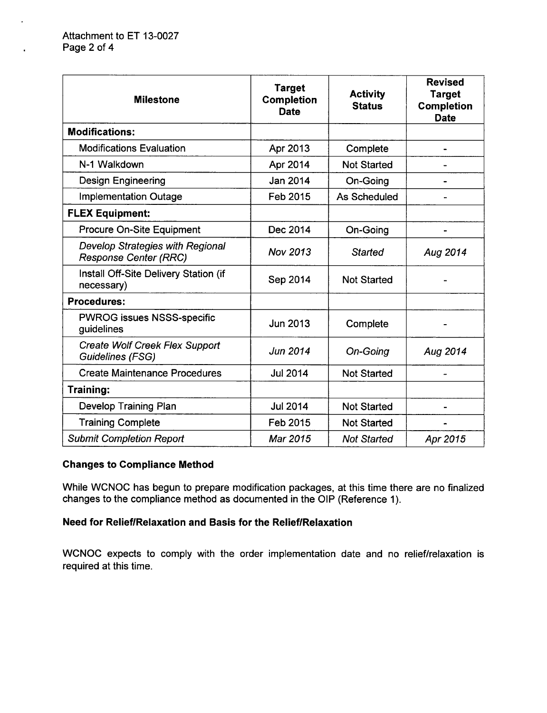$\ddot{\phantom{a}}$ 

| <b>Milestone</b>                                                        | <b>Target</b><br>Completion<br><b>Date</b> | <b>Activity</b><br><b>Status</b> | <b>Revised</b><br><b>Target</b><br><b>Completion</b><br><b>Date</b> |
|-------------------------------------------------------------------------|--------------------------------------------|----------------------------------|---------------------------------------------------------------------|
| <b>Modifications:</b>                                                   |                                            |                                  |                                                                     |
| <b>Modifications Evaluation</b>                                         | Apr 2013                                   | Complete                         |                                                                     |
| N-1 Walkdown                                                            | Apr 2014                                   | <b>Not Started</b>               |                                                                     |
| <b>Design Engineering</b>                                               | Jan 2014                                   | On-Going                         |                                                                     |
| <b>Implementation Outage</b>                                            | Feb 2015                                   | <b>As Scheduled</b>              |                                                                     |
| <b>FLEX Equipment:</b>                                                  |                                            |                                  |                                                                     |
| <b>Procure On-Site Equipment</b>                                        | Dec 2014                                   | On-Going                         |                                                                     |
| <b>Develop Strategies with Regional</b><br><b>Response Center (RRC)</b> | Nov 2013                                   | <b>Started</b>                   | Aug 2014                                                            |
| Install Off-Site Delivery Station (if<br>necessary)                     | Sep 2014                                   | <b>Not Started</b>               |                                                                     |
| <b>Procedures:</b>                                                      |                                            |                                  |                                                                     |
| <b>PWROG issues NSSS-specific</b><br>guidelines                         | Jun 2013                                   | Complete                         |                                                                     |
| Create Wolf Creek Flex Support<br>Guidelines (FSG)                      | Jun 2014                                   | <b>On-Going</b>                  | Aug 2014                                                            |
| <b>Create Maintenance Procedures</b>                                    | <b>Jul 2014</b>                            | <b>Not Started</b>               |                                                                     |
| Training:                                                               |                                            |                                  |                                                                     |
| <b>Develop Training Plan</b>                                            | <b>Jul 2014</b>                            | <b>Not Started</b>               |                                                                     |
| <b>Training Complete</b>                                                | Feb 2015                                   | <b>Not Started</b>               |                                                                     |
| <b>Submit Completion Report</b>                                         | Mar 2015                                   | <b>Not Started</b>               | Apr 2015                                                            |

## Changes to Compliance Method

While WCNOC has begun to prepare modification packages, at this time there are no finalized changes to the compliance method as documented in the OIP (Reference 1).

# Need for Relief/Relaxation and Basis for the Relief/Relaxation

WCNOC expects to comply with the order implementation date and no relief/relaxation is required at this time.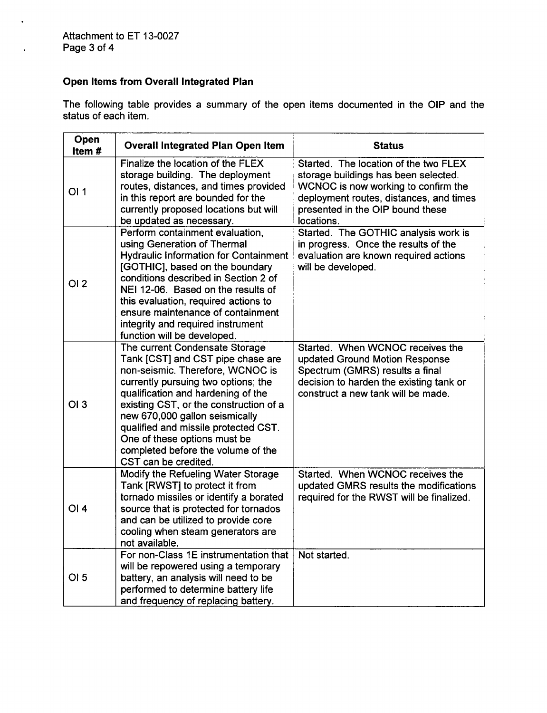$\ddot{\phantom{a}}$ 

# Open Items from Overall Integrated Plan

The following table provides a summary of the open items documented in the OIP and the status of each item.

| Open<br>Item# | <b>Overall Integrated Plan Open Item</b>                                                                                                                                                                                                                                                                                                                                                               | <b>Status</b>                                                                                                                                                                                                     |
|---------------|--------------------------------------------------------------------------------------------------------------------------------------------------------------------------------------------------------------------------------------------------------------------------------------------------------------------------------------------------------------------------------------------------------|-------------------------------------------------------------------------------------------------------------------------------------------------------------------------------------------------------------------|
| OI1           | Finalize the location of the FLEX<br>storage building. The deployment<br>routes, distances, and times provided<br>in this report are bounded for the<br>currently proposed locations but will<br>be updated as necessary.                                                                                                                                                                              | Started. The location of the two FLEX<br>storage buildings has been selected.<br>WCNOC is now working to confirm the<br>deployment routes, distances, and times<br>presented in the OIP bound these<br>locations. |
| OI2           | Perform containment evaluation,<br>using Generation of Thermal<br><b>Hydraulic Information for Containment</b><br>[GOTHIC], based on the boundary<br>conditions described in Section 2 of<br>NEI 12-06. Based on the results of<br>this evaluation, required actions to<br>ensure maintenance of containment<br>integrity and required instrument<br>function will be developed.                       | Started. The GOTHIC analysis work is<br>in progress. Once the results of the<br>evaluation are known required actions<br>will be developed.                                                                       |
| OI3           | The current Condensate Storage<br>Tank [CST] and CST pipe chase are<br>non-seismic. Therefore, WCNOC is<br>currently pursuing two options; the<br>qualification and hardening of the<br>existing CST, or the construction of a<br>new 670,000 gallon seismically<br>qualified and missile protected CST.<br>One of these options must be<br>completed before the volume of the<br>CST can be credited. | Started. When WCNOC receives the<br>updated Ground Motion Response<br>Spectrum (GMRS) results a final<br>decision to harden the existing tank or<br>construct a new tank will be made.                            |
| OI4           | Modify the Refueling Water Storage<br>Tank [RWST] to protect it from<br>tornado missiles or identify a borated<br>source that is protected for tornados<br>and can be utilized to provide core<br>cooling when steam generators are<br>not available.                                                                                                                                                  | Started. When WCNOC receives the<br>updated GMRS results the modifications<br>required for the RWST will be finalized.                                                                                            |
| OI 5          | For non-Class 1E instrumentation that<br>will be repowered using a temporary<br>battery, an analysis will need to be<br>performed to determine battery life<br>and frequency of replacing battery.                                                                                                                                                                                                     | Not started.                                                                                                                                                                                                      |